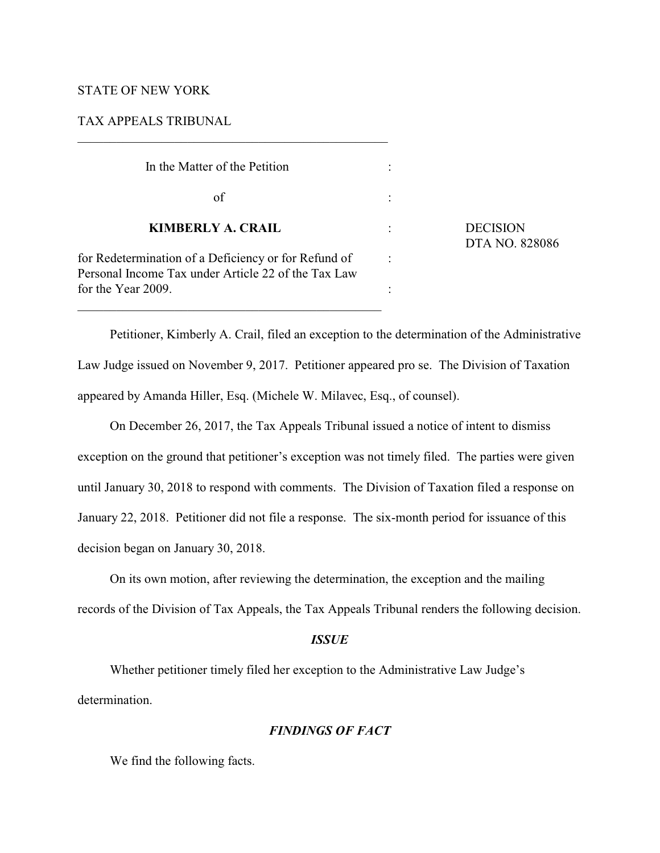# STATE OF NEW YORK

# TAX APPEALS TRIBUNAL

 $\mathcal{L}_\mathcal{L} = \{ \mathcal{L}_\mathcal{L} = \{ \mathcal{L}_\mathcal{L} = \{ \mathcal{L}_\mathcal{L} = \{ \mathcal{L}_\mathcal{L} = \{ \mathcal{L}_\mathcal{L} = \{ \mathcal{L}_\mathcal{L} = \{ \mathcal{L}_\mathcal{L} = \{ \mathcal{L}_\mathcal{L} = \{ \mathcal{L}_\mathcal{L} = \{ \mathcal{L}_\mathcal{L} = \{ \mathcal{L}_\mathcal{L} = \{ \mathcal{L}_\mathcal{L} = \{ \mathcal{L}_\mathcal{L} = \{ \mathcal{L}_\mathcal{$ 

| In the Matter of the Petition                                                                                                     |  |                                   |
|-----------------------------------------------------------------------------------------------------------------------------------|--|-----------------------------------|
| of                                                                                                                                |  | <b>DECISION</b><br>DTA NO. 828086 |
| <b>KIMBERLY A. CRAIL</b>                                                                                                          |  |                                   |
| for Redetermination of a Deficiency or for Refund of<br>Personal Income Tax under Article 22 of the Tax Law<br>for the Year 2009. |  |                                   |
|                                                                                                                                   |  |                                   |

Petitioner, Kimberly A. Crail, filed an exception to the determination of the Administrative Law Judge issued on November 9, 2017. Petitioner appeared pro se. The Division of Taxation appeared by Amanda Hiller, Esq. (Michele W. Milavec, Esq., of counsel).

On December 26, 2017, the Tax Appeals Tribunal issued a notice of intent to dismiss exception on the ground that petitioner's exception was not timely filed. The parties were given until January 30, 2018 to respond with comments. The Division of Taxation filed a response on January 22, 2018. Petitioner did not file a response. The six-month period for issuance of this decision began on January 30, 2018.

On its own motion, after reviewing the determination, the exception and the mailing records of the Division of Tax Appeals, the Tax Appeals Tribunal renders the following decision.

### *ISSUE*

Whether petitioner timely filed her exception to the Administrative Law Judge's determination.

# *FINDINGS OF FACT*

We find the following facts.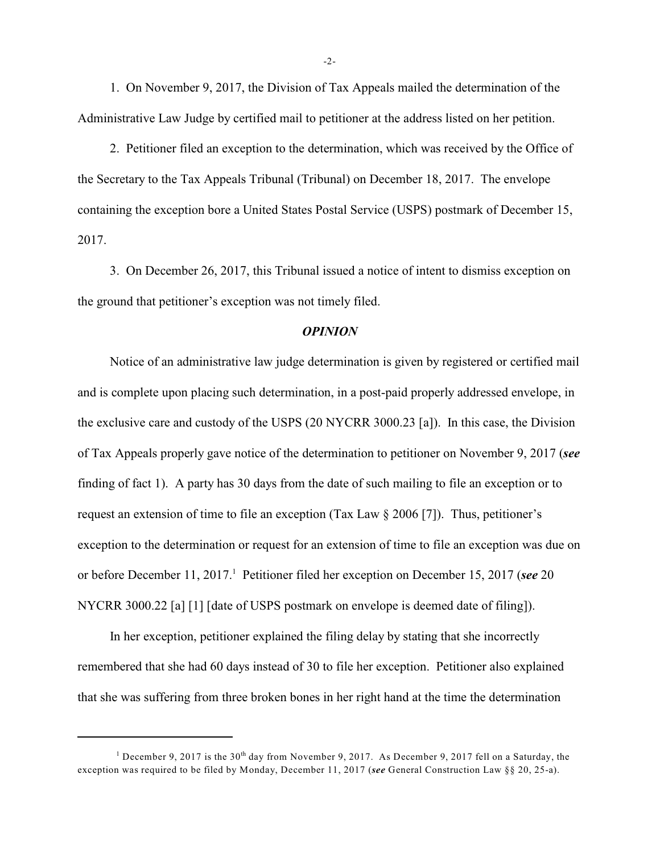1. On November 9, 2017, the Division of Tax Appeals mailed the determination of the Administrative Law Judge by certified mail to petitioner at the address listed on her petition.

2. Petitioner filed an exception to the determination, which was received by the Office of the Secretary to the Tax Appeals Tribunal (Tribunal) on December 18, 2017. The envelope containing the exception bore a United States Postal Service (USPS) postmark of December 15, 2017.

3. On December 26, 2017, this Tribunal issued a notice of intent to dismiss exception on the ground that petitioner's exception was not timely filed.

### *OPINION*

Notice of an administrative law judge determination is given by registered or certified mail and is complete upon placing such determination, in a post-paid properly addressed envelope, in the exclusive care and custody of the USPS (20 NYCRR 3000.23 [a]). In this case, the Division of Tax Appeals properly gave notice of the determination to petitioner on November 9, 2017 (*see* finding of fact 1). A party has 30 days from the date of such mailing to file an exception or to request an extension of time to file an exception (Tax Law § 2006 [7]). Thus, petitioner's exception to the determination or request for an extension of time to file an exception was due on or before December 11, 2017. Petitioner filed her exception on December 15, 2017 (*see* 20 <sup>1</sup> NYCRR 3000.22 [a] [1] [date of USPS postmark on envelope is deemed date of filing]).

In her exception, petitioner explained the filing delay by stating that she incorrectly remembered that she had 60 days instead of 30 to file her exception. Petitioner also explained that she was suffering from three broken bones in her right hand at the time the determination

-2-

<sup>&</sup>lt;sup>1</sup> December 9, 2017 is the 30<sup>th</sup> day from November 9, 2017. As December 9, 2017 fell on a Saturday, the exception was required to be filed by Monday, December 11, 2017 (*see* General Construction Law §§ 20, 25-a).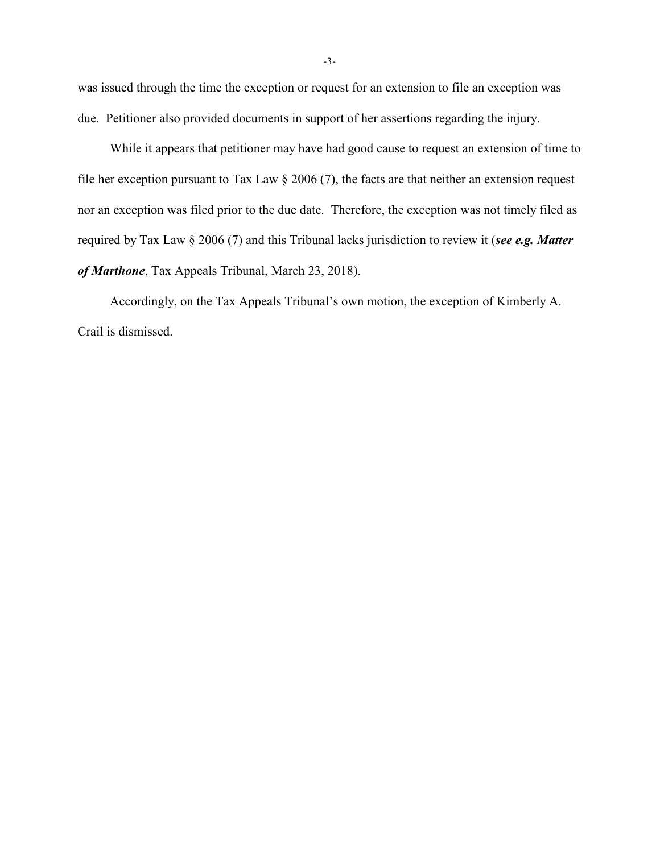was issued through the time the exception or request for an extension to file an exception was due. Petitioner also provided documents in support of her assertions regarding the injury.

While it appears that petitioner may have had good cause to request an extension of time to file her exception pursuant to Tax Law § 2006 (7), the facts are that neither an extension request nor an exception was filed prior to the due date. Therefore, the exception was not timely filed as required by Tax Law § 2006 (7) and this Tribunal lacks jurisdiction to review it (*see e.g. Matter of Marthone*, Tax Appeals Tribunal, March 23, 2018).

Accordingly, on the Tax Appeals Tribunal's own motion, the exception of Kimberly A. Crail is dismissed.